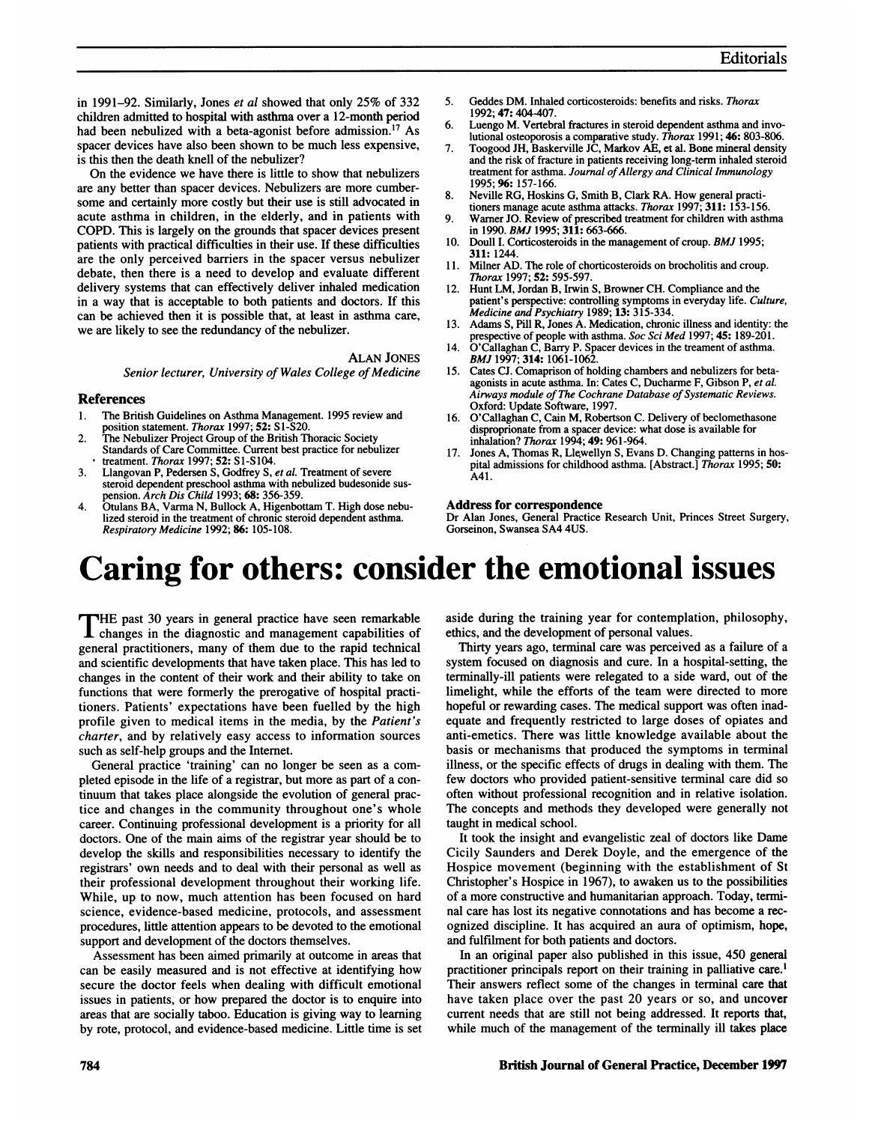in 1991-92. Similarly, Jones et al showed that only 25% of 332 children admitted to hospital with asthma over a 12-month period had been nebulized with a beta-agonist before admission.'7 As spacer devices have also been shown to be much less expensive, is this then the death knell of the nebulizer?

On the evidence we have there is little to show that nebulizers are any better than spacer devices. Nebulizers are more cumbersome and certainly more costly but their use is still advocated in acute asthma in children, in the elderly, and in patients with COPD. This is largely on the grounds that spacer devices present patients with practical difficulties in their use. If these difficulties are the only perceived barriers in the spacer versus nebulizer debate, then there is a need to develop and evaluate different delivery systems that can effectively deliver inhaled medication in a way that is acceptable to both patients and doctors. If this can be achieved then it is possible that, at least in asthma care, we are likely to see the redundancy of the nebulizer.

> ALAN JONES Senior lecturer, University of Wales College of Medicine

#### References

- 1. The British Guidelines on Asthma Management. 1995 review and
- position statement. *Thorax* 1997; 52: S1-S20.<br>2. The Nebulizer Project Group of the British Thoracic Society Standards of Care Committee. Current best practice for nebulizer
- treatment. Thorax 1997; 52: SI-S104. 3. Llangovan P, Pedersen S, Godfrey S, et al. Treatment of severe steroid dependent preschool asthma with nebulized budesonide sus-
- pension. *Arch Dis Child* 1993; **68:** 356-359.<br>4. Otulans BA, Varma N, Bullock A, Higenbottam T. High dose nebulized steroid in the treatment of chronic steroid dependent asthma. Respiratory Medicine 1992; 86: 105-108.
- 5. Geddes DM. Inhaled corticosteroids: benefits and risks. Thorax 1992; 47: 404-407.
- 6. Luengo M. Vertebral fractures in steroid dependent asthma and involutional osteoporosis a comparative study. Thorax 1991; 46: 803-806.
- 7. Toogood JH, Baskerville JC, Markov AE, et al. Bone mineral density and the risk of fracture in patients receiving long-term inhaled steroid treatment for asthma. Journal of Allergy and Clinical Immunology 1995; 96: 157-166.
- 8. Neville RG, Hoskins G, Smith B, Clark RA. How general practitioners manage acute asthma attacks. Thorax 1997; 311: 153-156.
- 9. Warner JO. Review of prescribed treatment for children with asthma in 1990. BMJ 1995; 311: 663-666.
- 10. Doull I. Corticosteroids in the management of croup. BMJ 1995; 311: 1244.
- 11. Milner AD. The role of chorticosteroids on brocholitis and croup. Thorax 1997; 52: 595-597.
- 12. Hunt LM, Jordan B, Irwin S, Browner CH. Compliance and the patient's perspective: controlling symptoms in everyday life. Culture, Medicine and Psychiatry 1989; 13: 315-334.
- 13. Adams S, Pill R, Jones A. Medication, chronic illness and identity: the prespective of people with asthma. Soc Sci Med 1997; 45: 189-201.
- 14. O'Callaghan C, Barry P. Spacer devices in the treament of asthma. BMJ 1997; 314: 1061-1062
- 15. Cates CJ. Comaprison of holding chambers and nebulizers for betaagonists in acute asthma. In: Cates C, Ducharme F, Gibson P, et al. Airways module of The Cochrane Database of Systematic Reviews. Oxford: Update Software, 1997.
- 16. O'Callaghan C, Cain M, Robertson C. Delivery of beclomethasone disproprionate from a spacer device: what dose is available for inhalation? Thorax 1994; 49: 961-964.
- 17. Jones A, Thomas R, Llewellyn S, Evans D. Changing patterns in hospital admissions for childhood asthma. [Abstract.] Thorax 1995; 50: A41.

#### Address for correspondence

Dr Alan Jones, General Practice Research Unit, Princes Street Surgery, Gorseinon, Swansea SA4 4US.

## Caring for others: consider the emotional issues

THE past 30 years in general practice have seen remarkable changes in the diagnostic and management capabilities of general practitioners, many of them due to the rapid technical and scientific developments that have taken place. This has led to changes in the content of their work and their ability to take on functions that were formerly the prerogative of hospital practitioners. Patients' expectations have been fuelled by the high profile given to medical items in the media, by the Patient's charter, and by relatively easy access to information sources such as self-help groups and the Intemet.

General practice 'training' can no longer be seen as a completed episode in the life of a registrar, but more as part of a continuum that takes place alongside the evolution of general practice and changes in the community throughout one's whole career. Continuing professional development is a priority for all doctors. One of the main aims of the registrar year should be to develop the skills and responsibilities necessary to identify the registrars' own needs and to deal with their personal as well as their professional development throughout their working life. While, up to now, much attention has been focused on hard science, evidence-based medicine, protocols, and assessment procedures, little attention appears to be devoted to the emotional support and development of the doctors themselves.

Assessment has been aimed primarily at outcome in areas that can be easily measured and is not effective at identifying how secure the doctor feels when dealing with difficult emotional issues in patients, or how prepared the doctor is to enquire into areas that are socially taboo. Education is giving way to learning by rote, protocol, and evidence-based medicine. Little time is set aside during the training year for contemplation, philosophy, ethics, and the development of personal values.

Thirty years ago, terminal care was perceived as a failure of a system focused on diagnosis and cure. In a hospital-setting, the terminally-ill patients were relegated to a side ward, out of the limelight, while the efforts of the team were directed to more hopeful or rewarding cases. The medical support was often inadequate and frequently restricted to large doses of opiates and anti-emetics. There was little knowledge available about the basis or mechanisms that produced the symptoms in terminal illness, or the specific effects of drugs in dealing with them. The few doctors who provided patient-sensitive terminal care did so often without professional recognition and in relative isolation. The concepts and methods they developed were generally not taught in medical school.

It took the insight and evangelistic zeal of doctors like Dame Cicily Saunders and Derek Doyle, and the emergence of the Hospice movement (beginning with the establishment of St Christopher's Hospice in 1967), to awaken us to the possibilities of a more constructive and humanitarian approach. Today, terminal care has lost its negative connotations and has become a recognized discipline. It has acquired an aura of optimism, hope, and fulfilment for both patients and doctors.

In an original paper also published in this issue, 450 general practitioner principals report on their training in palliative care.' Their answers reflect some of the changes in terminal care that have taken place over the past 20 years or so, and uncover current needs that are still not being addressed. It reports that, while much of the management of the terminally ill takes place